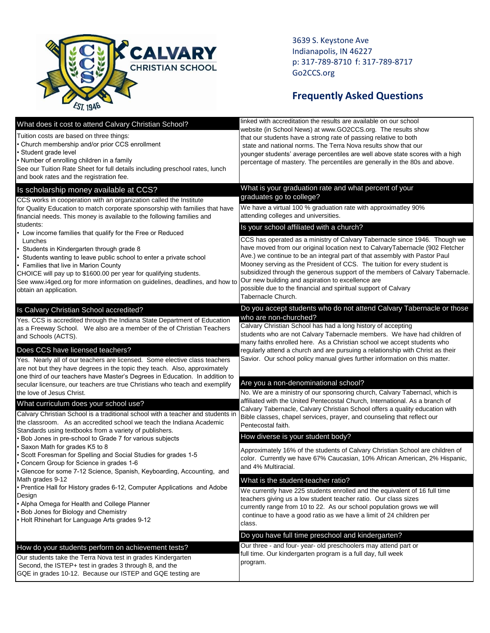

3639 S. Keystone Ave Indianapolis, IN 46227 p: 317-789-8710 f: 317-789-8717 Go2CCS.org

## **Frequently Asked Questions**

| What does it cost to attend Calvary Christian School?<br>Tuition costs are based on three things:<br>Church membership and/or prior CCS enrollment<br>Student grade level<br>Number of enrolling children in a family<br>See our Tuition Rate Sheet for full details including preschool rates, lunch<br>and book rates and the registration fee.                                                                                                                                                                                                                                                                                                                                                                                                                                            | linked with accreditation the results are available on our school<br>website (in School News) at www.GO2CCS.org. The results show<br>that our students have a strong rate of passing relative to both<br>state and national norms. The Terra Nova results show that our<br>younger students' average percentiles are well above state scores with a high<br>percentage of mastery. The percentiles are generally in the 80s and above.                                                                                                                                                                                                                                                                                                                                                                                                                                                         |
|----------------------------------------------------------------------------------------------------------------------------------------------------------------------------------------------------------------------------------------------------------------------------------------------------------------------------------------------------------------------------------------------------------------------------------------------------------------------------------------------------------------------------------------------------------------------------------------------------------------------------------------------------------------------------------------------------------------------------------------------------------------------------------------------|------------------------------------------------------------------------------------------------------------------------------------------------------------------------------------------------------------------------------------------------------------------------------------------------------------------------------------------------------------------------------------------------------------------------------------------------------------------------------------------------------------------------------------------------------------------------------------------------------------------------------------------------------------------------------------------------------------------------------------------------------------------------------------------------------------------------------------------------------------------------------------------------|
| Is scholarship money available at CCS?<br>CCS works in cooperation with an organization called the Institute<br>for Quality Education to match corporate sponsorship with families that have<br>financial needs. This money is available to the following families and<br>students:<br>Low income families that qualify for the Free or Reduced<br>Lunches<br>Students in Kindergarten through grade 8<br>Students wanting to leave public school to enter a private school<br>Families that live in Marion County<br>CHOICE will pay up to \$1600.00 per year for qualifying students.<br>See www.i4ged.org for more information on guidelines, deadlines, and how to<br>obtain an application.                                                                                             | What is your graduation rate and what percent of your<br>graduates go to college?<br>We have a virtual 100 % graduation rate with approximatley 90%<br>attending colleges and universities.<br>Is your school affiliated with a church?<br>CCS has operated as a ministry of Calvary Tabernacle since 1946. Though we<br>have moved from our original location next to CalvaryTabernacle (902 Fletcher<br>Ave.) we continue to be an integral part of that assembly with Pastor Paul<br>Mooney serving as the President of CCS. The tuition for every student is<br>subsidized through the generous support of the members of Calvary Tabernacle.<br>Our new building and aspiration to excellence are<br>possible due to the financial and spiritual support of Calvary<br>Tabernacle Church.                                                                                                 |
| Is Calvary Christian School accredited?<br>Yes. CCS is accredited through the Indiana State Department of Education<br>as a Freeway School. We also are a member of the of Christian Teachers<br>and Schools (ACTS).<br>Does CCS have licensed teachers?<br>Yes. Nearly all of our teachers are licensed. Some elective class teachers<br>are not but they have degrees in the topic they teach. Also, approximately<br>one third of our teachers have Master's Degrees in Education. In addition to<br>secular licensure, our teachers are true Christians who teach and exemplify<br>the love of Jesus Christ.                                                                                                                                                                             | Do you accept students who do not attend Calvary Tabernacle or those<br>who are non-churched?<br>Calvary Christian School has had a long history of accepting<br>students who are not Calvary Tabernacle members. We have had children of<br>many faiths enrolled here. As a Christian school we accept students who<br>regularly attend a church and are pursuing a relationship with Christ as their<br>Savior. Our school policy manual gives further information on this matter.<br>Are you a non-denominational school?<br>No. We are a ministry of our sponsoring church, Calvary Tabernacl, which is                                                                                                                                                                                                                                                                                    |
| What curriculum does your school use?<br>Calvary Christian School is a traditional school with a teacher and students in<br>the classroom. As an accredited school we teach the Indiana Academic<br>Standards using textbooks from a variety of publishers.<br>Bob Jones in pre-school to Grade 7 for various subjects<br>Saxon Math for grades K5 to 8<br>Scott Foresman for Spelling and Social Studies for grades 1-5<br>Concern Group for Science in grades 1-6<br>Glencoe for some 7-12 Science, Spanish, Keyboarding, Accounting, and<br>Math grades 9-12<br>• Prentice Hall for History grades 6-12, Computer Applications and Adobe<br>Design<br>• Alpha Omega for Health and College Planner<br>Bob Jones for Biology and Chemistry<br>Holt Rhinehart for Language Arts grades 9-12 | affiliated with the United Pentecostal Church, International. As a branch of<br>Calvary Tabernacle, Calvary Christian School offers a quality education with<br>Bible classes, chapel services, prayer, and counseling that reflect our<br>Pentecostal faith.<br>How diverse is your student body?<br>Approximately 16% of the students of Calvary Christian School are children of<br>color. Currently we have 67% Caucasian, 10% African American, 2% Hispanic,<br>and 4% Multiracial.<br>What is the student-teacher ratio?<br>We currently have 225 students enrolled and the equivalent of 16 full time<br>teachers giving us a low student teacher ratio. Our class sizes<br>currently range from 10 to 22. As our school population grows we will<br>continue to have a good ratio as we have a limit of 24 children per<br>class.<br>Do you have full time preschool and kindergarten? |
| How do your students perform on achievement tests?<br>Our students take the Terra Nova test in grades Kindergarten<br>Second, the ISTEP+ test in grades 3 through 8, and the<br>GQE in grades 10-12. Because our ISTEP and GQE testing are                                                                                                                                                                                                                                                                                                                                                                                                                                                                                                                                                   | Our three - and four-year- old preschoolers may attend part or<br>full time. Our kindergarten program is a full day, full week<br>program.                                                                                                                                                                                                                                                                                                                                                                                                                                                                                                                                                                                                                                                                                                                                                     |